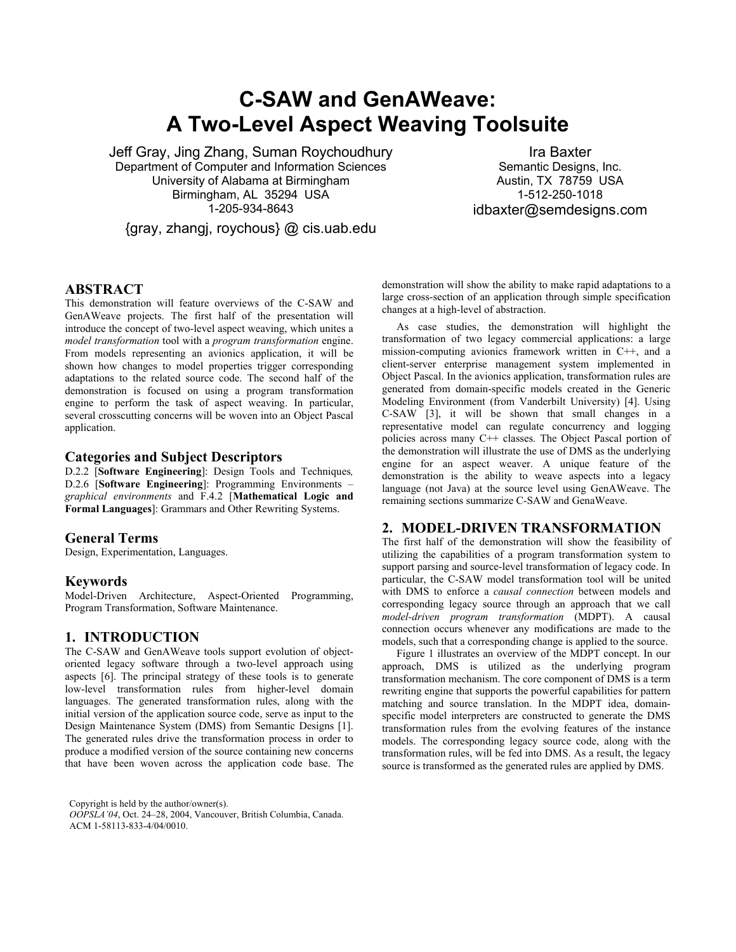# **C-SAW and GenAWeave: A Two-Level Aspect Weaving Toolsuite**

Jeff Gray, Jing Zhang, Suman Roychoudhury Department of Computer and Information Sciences University of Alabama at Birmingham Birmingham, AL 35294 USA 1-205-934-8643

{gray, zhangj, roychous} @ cis.uab.edu

Ira Baxter Semantic Designs, Inc. Austin, TX 78759 USA 1-512-250-1018 idbaxter@semdesigns.com

## **ABSTRACT**

This demonstration will feature overviews of the C-SAW and GenAWeave projects. The first half of the presentation will introduce the concept of two-level aspect weaving, which unites a *model transformation* tool with a *program transformation* engine. From models representing an avionics application, it will be shown how changes to model properties trigger corresponding adaptations to the related source code. The second half of the demonstration is focused on using a program transformation engine to perform the task of aspect weaving. In particular, several crosscutting concerns will be woven into an Object Pascal application.

## **Categories and Subject Descriptors**

D.2.2 [**Software Engineering**]: Design Tools and Techniques*,* D.2.6 [**Software Engineering**]: Programming Environments – *graphical environments* and F.4.2 [**Mathematical Logic and Formal Languages**]: Grammars and Other Rewriting Systems.

### **General Terms**

Design, Experimentation, Languages.

## **Keywords**

Model-Driven Architecture, Aspect-Oriented Programming, Program Transformation, Software Maintenance.

## **1. INTRODUCTION**

The C-SAW and GenAWeave tools support evolution of objectoriented legacy software through a two-level approach using aspects [6]. The principal strategy of these tools is to generate low-level transformation rules from higher-level domain languages. The generated transformation rules, along with the initial version of the application source code, serve as input to the Design Maintenance System (DMS) from Semantic Designs [1]. The generated rules drive the transformation process in order to produce a modified version of the source containing new concerns that have been woven across the application code base. The

Copyright is held by the author/owner(s). *OOPSLA'04*, Oct. 24–28, 2004, Vancouver, British Columbia, Canada. ACM 1-58113-833-4/04/0010.

demonstration will show the ability to make rapid adaptations to a large cross-section of an application through simple specification changes at a high-level of abstraction.

As case studies, the demonstration will highlight the transformation of two legacy commercial applications: a large mission-computing avionics framework written in C++, and a client-server enterprise management system implemented in Object Pascal. In the avionics application, transformation rules are generated from domain-specific models created in the Generic Modeling Environment (from Vanderbilt University) [4]. Using C-SAW [3], it will be shown that small changes in a representative model can regulate concurrency and logging policies across many C++ classes. The Object Pascal portion of the demonstration will illustrate the use of DMS as the underlying engine for an aspect weaver. A unique feature of the demonstration is the ability to weave aspects into a legacy language (not Java) at the source level using GenAWeave. The remaining sections summarize C-SAW and GenaWeave.

# **2. MODEL-DRIVEN TRANSFORMATION**

The first half of the demonstration will show the feasibility of utilizing the capabilities of a program transformation system to support parsing and source-level transformation of legacy code. In particular, the C-SAW model transformation tool will be united with DMS to enforce a *causal connection* between models and corresponding legacy source through an approach that we call *model-driven program transformation* (MDPT). A causal connection occurs whenever any modifications are made to the models, such that a corresponding change is applied to the source.

Figure 1 illustrates an overview of the MDPT concept. In our approach, DMS is utilized as the underlying program transformation mechanism. The core component of DMS is a term rewriting engine that supports the powerful capabilities for pattern matching and source translation. In the MDPT idea, domainspecific model interpreters are constructed to generate the DMS transformation rules from the evolving features of the instance models. The corresponding legacy source code, along with the transformation rules, will be fed into DMS. As a result, the legacy source is transformed as the generated rules are applied by DMS.